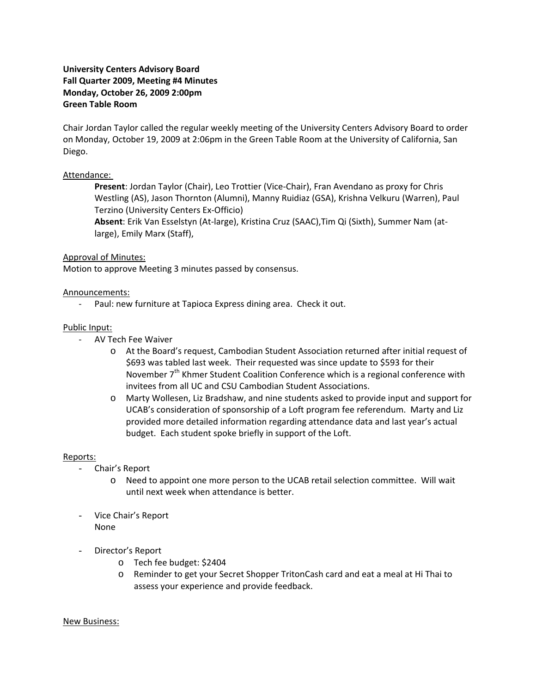# **University Centers Advisory Board Fall Quarter 2009, Meeting #4 Minutes Monday, October 26, 2009 2:00pm Green Table Room**

Chair Jordan Taylor called the regular weekly meeting of the University Centers Advisory Board to order on Monday, October 19, 2009 at 2:06pm in the Green Table Room at the University of California, San Diego.

## Attendance:

**Present**: Jordan Taylor (Chair), Leo Trottier (Vice‐Chair), Fran Avendano as proxy for Chris Westling (AS), Jason Thornton (Alumni), Manny Ruidiaz (GSA), Krishna Velkuru (Warren), Paul Terzino (University Centers Ex‐Officio)

**Absent**: Erik Van Esselstyn (At‐large), Kristina Cruz (SAAC),Tim Qi (Sixth), Summer Nam (at‐ large), Emily Marx (Staff),

## Approval of Minutes:

Motion to approve Meeting 3 minutes passed by consensus.

## Announcements:

‐ Paul: new furniture at Tapioca Express dining area. Check it out.

### Public Input:

- ‐ AV Tech Fee Waiver
	- o At the Board's request, Cambodian Student Association returned after initial request of \$693 was tabled last week. Their requested was since update to \$593 for their November  $7<sup>th</sup>$  Khmer Student Coalition Conference which is a regional conference with invitees from all UC and CSU Cambodian Student Associations.
	- o Marty Wollesen, Liz Bradshaw, and nine students asked to provide input and support for UCAB's consideration of sponsorship of a Loft program fee referendum. Marty and Liz provided more detailed information regarding attendance data and last year's actual budget. Each student spoke briefly in support of the Loft.

## Reports:

- Chair's Report
	- o Need to appoint one more person to the UCAB retail selection committee. Will wait until next week when attendance is better.
- Vice Chair's Report None
- Director's Report
	- o Tech fee budget: \$2404
	- o Reminder to get your Secret Shopper TritonCash card and eat a meal at Hi Thai to assess your experience and provide feedback.

#### New Business: